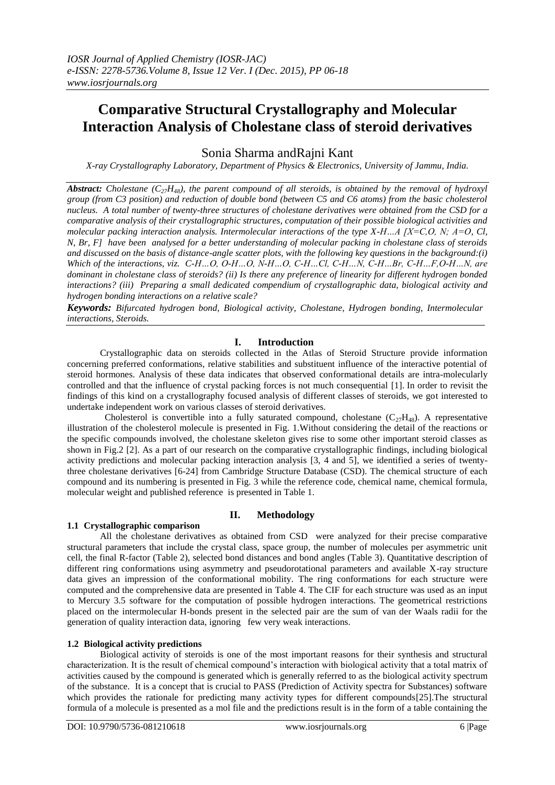# **Comparative Structural Crystallography and Molecular Interaction Analysis of Cholestane class of steroid derivatives**

Sonia Sharma andRajni Kant

*X-ray Crystallography Laboratory, Department of Physics & Electronics, University of Jammu, India.*

*Abstract: Cholestane (C27H48), the parent compound of all steroids, is obtained by the removal of hydroxyl group (from C3 position) and reduction of double bond (between C5 and C6 atoms) from the basic cholesterol nucleus. A total number of twenty-three structures of cholestane derivatives were obtained from the CSD for a comparative analysis of their crystallographic structures, computation of their possible biological activities and molecular packing interaction analysis. Intermolecular interactions of the type X-H…A [X=C,O, N; A=O, Cl, N, Br, F] have been analysed for a better understanding of molecular packing in cholestane class of steroids and discussed on the basis of distance-angle scatter plots, with the following key questions in the background:(i) Which of the interactions, viz. C-H…O, O-H…O, N-H…O, C-H…Cl, C-H…N, C-H…Br, C-H…F,O-H…N, are dominant in cholestane class of steroids? (ii) Is there any preference of linearity for different hydrogen bonded interactions? (iii) Preparing a small dedicated compendium of crystallographic data, biological activity and hydrogen bonding interactions on a relative scale?*

*Keywords: Bifurcated hydrogen bond, Biological activity, Cholestane, Hydrogen bonding, Intermolecular interactions, Steroids.*

# **I. Introduction**

Crystallographic data on steroids collected in the Atlas of Steroid Structure provide information concerning preferred conformations, relative stabilities and substituent influence of the interactive potential of steroid hormones. Analysis of these data indicates that observed conformational details are intra-molecularly controlled and that the influence of crystal packing forces is not much consequential [1]. In order to revisit the findings of this kind on a crystallography focused analysis of different classes of steroids, we got interested to undertake independent work on various classes of steroid derivatives.

Cholesterol is convertible into a fully saturated compound, cholestane  $(C_{27}H_{48})$ . A representative illustration of the cholesterol molecule is presented in Fig. 1.Without considering the detail of the reactions or the specific compounds involved, the cholestane skeleton gives rise to some other important steroid classes as shown in Fig.2 [2]. As a part of our research on the comparative crystallographic findings, including biological activity predictions and molecular packing interaction analysis [3, 4 and 5], we identified a series of twentythree cholestane derivatives [6-24] from Cambridge Structure Database (CSD). The chemical structure of each compound and its numbering is presented in Fig. 3 while the reference code, chemical name, chemical formula, molecular weight and published reference is presented in Table 1.

## **1.1 Crystallographic comparison**

# **II. Methodology**

All the cholestane derivatives as obtained from CSD were analyzed for their precise comparative structural parameters that include the crystal class, space group, the number of molecules per asymmetric unit cell, the final R-factor (Table 2), selected bond distances and bond angles (Table 3). Quantitative description of different ring conformations using asymmetry and pseudorotational parameters and available X-ray structure data gives an impression of the conformational mobility. The ring conformations for each structure were computed and the comprehensive data are presented in Table 4. The CIF for each structure was used as an input to Mercury 3.5 software for the computation of possible hydrogen interactions. The geometrical restrictions placed on the intermolecular H-bonds present in the selected pair are the sum of van der Waals radii for the generation of quality interaction data, ignoring few very weak interactions.

## **1.2 Biological activity predictions**

Biological activity of steroids is one of the most important reasons for their synthesis and structural characterization. It is the result of chemical compound's interaction with biological activity that a total matrix of activities caused by the compound is generated which is generally referred to as the biological activity spectrum of the substance. It is a concept that is crucial to PASS (Prediction of Activity spectra for Substances) software which provides the rationale for predicting many activity types for different compounds[25]. The structural formula of a molecule is presented as a mol file and the predictions result is in the form of a table containing the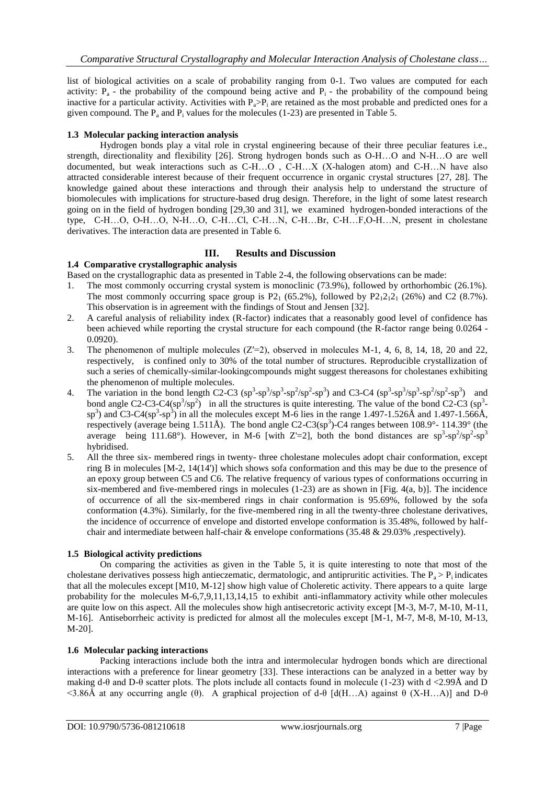list of biological activities on a scale of probability ranging from 0-1. Two values are computed for each activity:  $P_a$  - the probability of the compound being active and  $P_i$  - the probability of the compound being inactive for a particular activity. Activities with  $P_a > P_i$  are retained as the most probable and predicted ones for a given compound. The  $P_a$  and  $P_i$  values for the molecules (1-23) are presented in Table 5.

# **1.3 Molecular packing interaction analysis**

Hydrogen bonds play a vital role in crystal engineering because of their three peculiar features i.e., strength, directionality and flexibility [26]. Strong hydrogen bonds such as O-H…O and N-H…O are well documented, but weak interactions such as C-H…O , C-H…X (X-halogen atom) and C-H…N have also attracted considerable interest because of their frequent occurrence in organic crystal structures [27, 28]. The knowledge gained about these interactions and through their analysis help to understand the structure of biomolecules with implications for structure-based drug design. Therefore, in the light of some latest research going on in the field of hydrogen bonding [29,30 and 31], we examined hydrogen-bonded interactions of the type, C-H…O, O-H…O, N-H…O, C-H…Cl, C-H…N, C-H…Br, C-H…F,O-H…N, present in cholestane derivatives. The interaction data are presented in Table 6.

# **III. Results and Discussion**

## **1.4 Comparative crystallographic analysis**

Based on the crystallographic data as presented in Table 2-4, the following observations can be made:

- 1. The most commonly occurring crystal system is monoclinic (73.9%), followed by orthorhombic (26.1%). The most commonly occurring space group is P2<sub>1</sub> (65.2%), followed by P2<sub>1</sub>2<sub>1</sub><sup>2</sup><sub>1</sub> (26%) and C2 (8.7%). This observation is in agreement with the findings of Stout and Jensen [32].
- 2. A careful analysis of reliability index (R-factor) indicates that a reasonably good level of confidence has been achieved while reporting the crystal structure for each compound (the R-factor range being 0.0264 - 0.0920).
- 3. The phenomenon of multiple molecules  $(Z=2)$ , observed in molecules M-1, 4, 6, 8, 14, 18, 20 and 22, respectively, is confined only to 30% of the total number of structures. Reproducible crystallization of such a series of chemically-similar-lookingcompounds might suggest thereasons for cholestanes exhibiting the phenomenon of multiple molecules.
- 4. The variation in the bond length C2-C3  $(sp^3$ -sp<sup>3</sup>/sp<sup>3</sup>-sp<sup>2</sup>/sp<sup>2</sup>-sp<sup>3</sup>) and C3-C4  $(sp^3$ -sp<sup>3</sup>/sp<sup>3</sup>-sp<sup>2</sup>/sp<sup>2</sup>-sp<sup>3</sup>) and bond angle C2-C3-C4(sp<sup>3</sup>/sp<sup>2</sup>) in all the structures is quite interesting. The value of the bond C2-C3 (sp<sup>3</sup>sp<sup>3</sup>) and C3-C4(sp<sup>3</sup>-sp<sup>3</sup>) in all the molecules except M-6 lies in the range 1.497-1.526Å and 1.497-1.566Å, respectively (average being 1.511Å). The bond angle C2-C3(sp<sup>3</sup>)-C4 ranges between 108.9°- 114.39° (the average being 111.68°). However, in M-6 [with Z'=2], both the bond distances are  $sp^3$ - $sp^2/sp^2$ - $sp^3$ hybridised.
- 5. All the three six- membered rings in twenty- three cholestane molecules adopt chair conformation, except ring B in molecules [M-2, 14(14')] which shows sofa conformation and this may be due to the presence of an epoxy group between C5 and C6. The relative frequency of various types of conformations occurring in six-membered and five-membered rings in molecules  $(1-23)$  are as shown in [Fig. 4(a, b)]. The incidence of occurrence of all the six-membered rings in chair conformation is 95.69%, followed by the sofa conformation (4.3%). Similarly, for the five-membered ring in all the twenty-three cholestane derivatives, the incidence of occurrence of envelope and distorted envelope conformation is 35.48%, followed by halfchair and intermediate between half-chair & envelope conformations (35.48 & 29.03%, respectively).

## **1.5 Biological activity predictions**

On comparing the activities as given in the Table 5, it is quite interesting to note that most of the cholestane derivatives possess high antieczematic, dermatologic, and antipruritic activities. The  $P_a > P_i$  indicates that all the molecules except [M10, M-12] show high value of Choleretic activity. There appears to a quite large probability for the molecules M-6,7,9,11,13,14,15 to exhibit anti-inflammatory activity while other molecules are quite low on this aspect. All the molecules show high antisecretoric activity except [M-3, M-7, M-10, M-11, M-16]. Antiseborrheic activity is predicted for almost all the molecules except [M-1, M-7, M-8, M-10, M-13, M-20].

## **1.6 Molecular packing interactions**

Packing interactions include both the intra and intermolecular hydrogen bonds which are directional interactions with a preference for linear geometry [33]. These interactions can be analyzed in a better way by making d-θ and D-θ scatter plots. The plots include all contacts found in molecule (1-23) with d <2.99Å and D <3.86Å at any occurring angle (θ). A graphical projection of d-θ [d(H…A) against θ (X-H…A)] and D-θ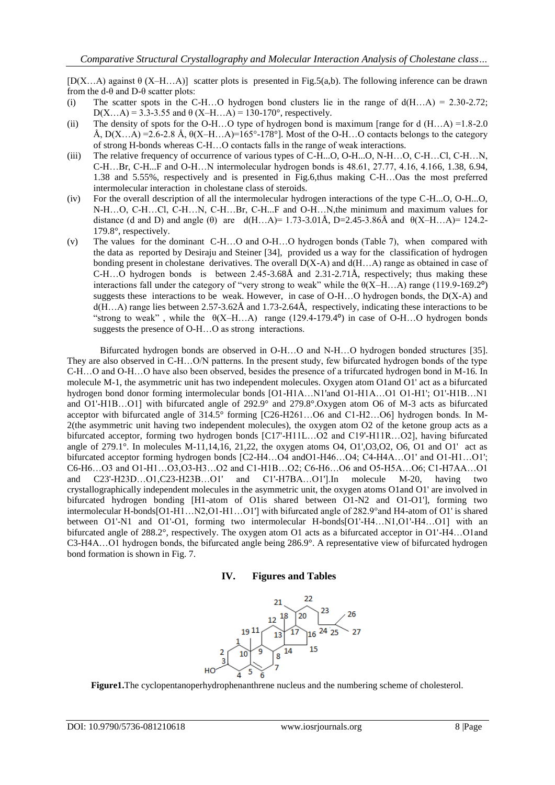[D(X…A) against θ (X–H…A)] scatter plots is presented in Fig.5(a,b). The following inference can be drawn from the  $d-\theta$  and  $D-\theta$  scatter plots:

- (i) The scatter spots in the C-H...O hydrogen bond clusters lie in the range of  $d(H...A) = 2.30-2.72$ ; D(X...A) = 3.3-3.55 and  $\theta$  (X–H...A) = 130-170°, respectively.
- (ii) The density of spots for the O-H...O type of hydrogen bond is maximum [range for d  $(H...A) = 1.8-2.0$ Å,  $D(X...A) = 2.6-2.8$  Å,  $\theta(X-H...A) = 165^{\circ} - 178^{\circ}$ . Most of the O-H…O contacts belongs to the category of strong H-bonds whereas C-H…O contacts falls in the range of weak interactions.
- (iii) The relative frequency of occurrence of various types of C-H...O, O-H...O, N-H…O, C-H…Cl, C-H…N, C-H…Br, C-H...F and O-H…N intermolecular hydrogen bonds is 48.61, 27.77, 4.16, 4.166, 1.38, 6.94, 1.38 and 5.55%, respectively and is presented in Fig.6,thus making C-H…Oas the most preferred intermolecular interaction in cholestane class of steroids.
- (iv) For the overall description of all the intermolecular hydrogen interactions of the type C-H...O, O-H...O, N-H…O, C-H…Cl, C-H…N, C-H…Br, C-H...F and O-H…N,the minimum and maximum values for distance (d and D) and angle ( $\theta$ ) are d(H…A)= 1.73-3.01Å, D=2.45-3.86Å and  $\theta$ (X–H…A)= 124.2-179.8°, respectively.
- (v) The values for the dominant C-H…O and O-H…O hydrogen bonds (Table 7), when compared with the data as reported by Desiraju and Steiner [34], provided us a way for the classification of hydrogen bonding present in cholestane derivatives. The overall  $D(X-A)$  and  $d(H...A)$  range as obtained in case of C-H…O hydrogen bonds is between 2.45-3.68Å and 2.31-2.71Å, respectively; thus making these interactions fall under the category of "very strong to weak" while the  $\theta(X-H...A)$  range (119.9-169.2°) suggests these interactions to be weak. However, in case of  $O-H...O$  hydrogen bonds, the  $D(X-A)$  and d(H…A) range lies between 2.57-3.62Å and 1.73-2.64Å, respectively, indicating these interactions to be "strong to weak", while the  $\Theta(X-H...A)$  range (129.4-179.4°) in case of O-H...O hydrogen bonds suggests the presence of O-H…O as strong interactions.

Bifurcated hydrogen bonds are observed in O-H…O and N-H…O hydrogen bonded structures [35]. They are also observed in C-H…O/N patterns. In the present study, few bifurcated hydrogen bonds of the type C-H…O and O-H…O have also been observed, besides the presence of a trifurcated hydrogen bond in M-16. In molecule M-1, the asymmetric unit has two independent molecules. Oxygen atom O1and O1' act as a bifurcated hydrogen bond donor forming intermolecular bonds [O1-H1A…N1'and O1-H1A…O1 O1-H1'; O1'-H1B…N1 and O1'-H1B…O1] with bifurcated angle of 292.9° and 279.8°.Oxygen atom O6 of M-3 acts as bifurcated acceptor with bifurcated angle of 314.5° forming [C26-H261…O6 and C1-H2…O6] hydrogen bonds. In M-2(the asymmetric unit having two independent molecules), the oxygen atom O2 of the ketone group acts as a bifurcated acceptor, forming two hydrogen bonds [C17'-H11L…O2 and C19'-H11R…O2], having bifurcated angle of 279.1°. In molecules M-11,14,16, 21,22, the oxygen atoms O4, O1',O3,O2, O6, O1 and O1' act as bifurcated acceptor forming hydrogen bonds [C2-H4…O4 andO1-H46…O4; C4-H4A…O1' and O1-H1…O1'; C6-H6…O3 and O1-H1…O3,O3-H3…O2 and C1-H1B…O2; C6-H6…O6 and O5-H5A…O6; C1-H7AA…O1 and C23'-H23D…O1,C23-H23B…O1' and C1'-H7BA…O1'].In molecule M-20, having two crystallographically independent molecules in the asymmetric unit, the oxygen atoms O1and O1' are involved in bifurcated hydrogen bonding [H1-atom of O1is shared between O1-N2 and O1-O1'], forming two intermolecular H-bonds[O1-H1…N2,O1-H1…O1'] with bifurcated angle of 282.9°and H4-atom of O1' is shared between O1'-N1 and O1'-O1, forming two intermolecular H-bonds[O1'-H4…N1,O1'-H4…O1] with an bifurcated angle of 288.2°, respectively. The oxygen atom O1 acts as a bifurcated acceptor in O1'-H4…O1and C3-H4A…O1 hydrogen bonds, the bifurcated angle being 286.9°. A representative view of bifurcated hydrogen bond formation is shown in Fig. 7.





**Figure1.**The cyclopentanoperhydrophenanthrene nucleus and the numbering scheme of cholesterol.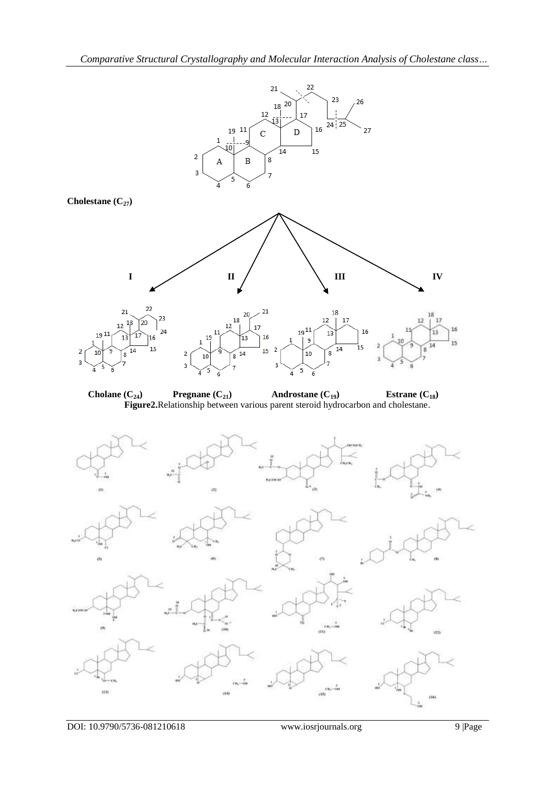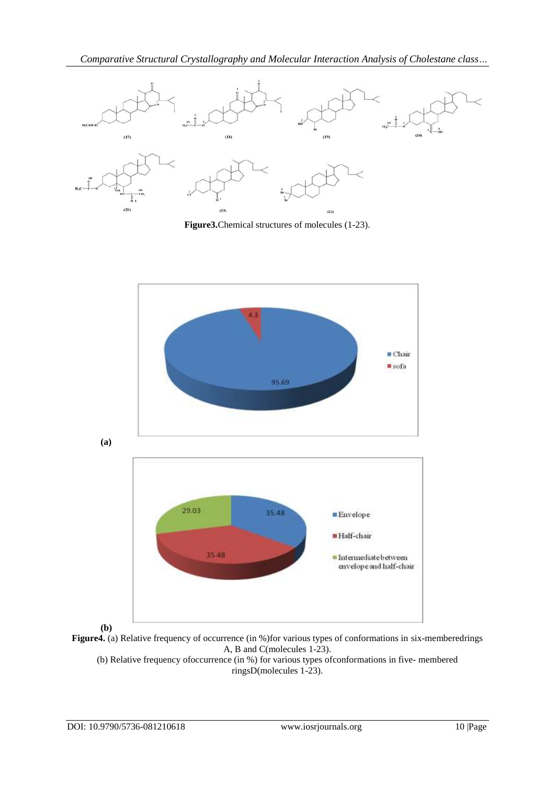

**Figure3.**Chemical structures of molecules (1-23).





(b) Relative frequency ofoccurrence (in %) for various types ofconformations in five- membered ringsD(molecules 1-23).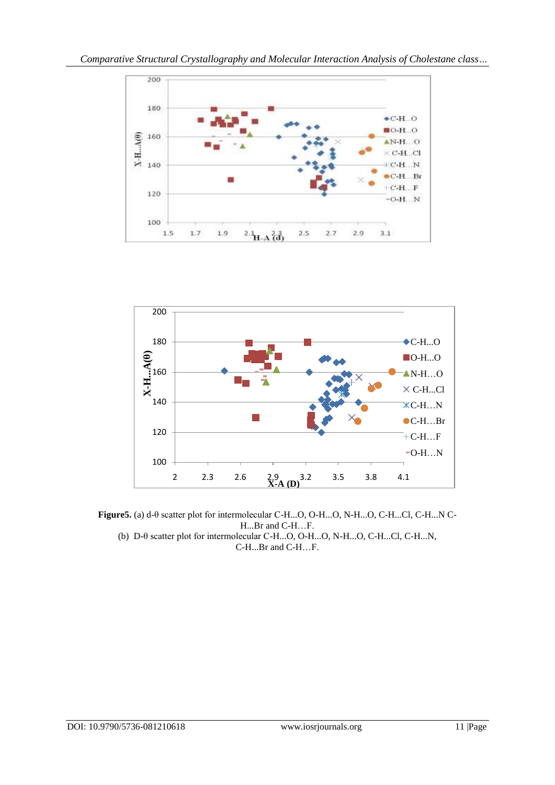



**Figure5.** (a) d-θ scatter plot for intermolecular C-H...O, O-H...O, N-H...O, C-H...Cl, C-H...N C-H...Br and C-H…F.

(b) D-θ scatter plot for intermolecular C-H...O, O-H...O, N-H...O, C-H...Cl, C-H...N, C-H...Br and C-H…F.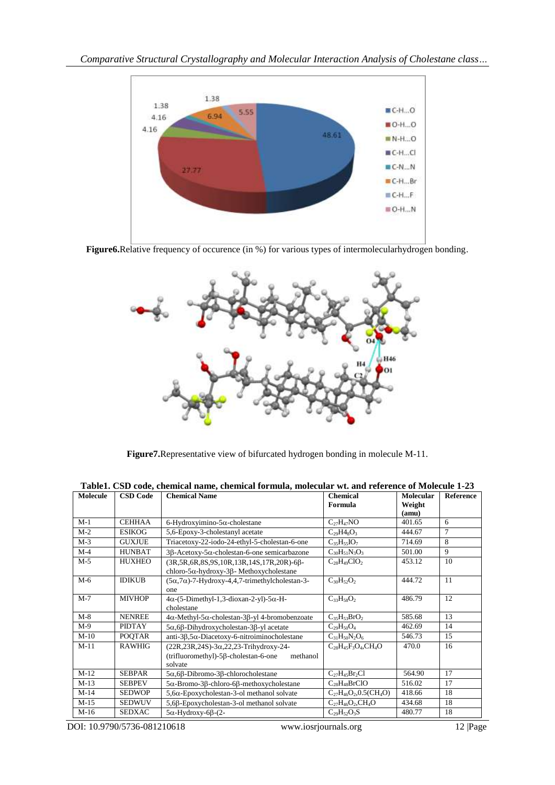

**Figure6.**Relative frequency of occurence (in %) for various types of intermolecularhydrogen bonding.



**Figure7.**Representative view of bifurcated hydrogen bonding in molecule M-11.

| <b>Molecule</b> | <b>CSD Code</b> | <b>Chemical Name</b>                                                                                                          | <b>Chemical</b><br>Formula                   | Molecular       | <b>Reference</b> |
|-----------------|-----------------|-------------------------------------------------------------------------------------------------------------------------------|----------------------------------------------|-----------------|------------------|
|                 |                 |                                                                                                                               |                                              | Weight<br>(amu) |                  |
| $M-1$           | <b>CEHHAA</b>   | 6-Hydroxyimino-5 $\alpha$ -cholestane                                                                                         | $C_{27}H_{47}NO$                             | 401.65          | 6                |
| $M-2$           | <b>ESIKOG</b>   | 5,6-Epoxy-3-cholestanyl acetate                                                                                               | $C_{29}H4_8O_3$                              | 444.67          | $\tau$           |
| $M-3$           | <b>GUXJUE</b>   | Triacetoxy-22-iodo-24-ethyl-5-cholestan-6-one                                                                                 | $C_{35}H_{55}IO_7$                           | 714.69          | 8                |
| $M-4$           | <b>HUNBAT</b>   | 3β-Acetoxy-5α-cholestan-6-one semicarbazone                                                                                   | $C_{30}H_{51}N_3O_3$                         | 501.00          | 9                |
| $M-5$           | <b>HUXHEO</b>   | (3R, 5R, 6R, 8S, 9S, 10R, 13R, 14S, 17R, 20R)-6β-<br>chloro-5 $\alpha$ -hydroxy-3 $\beta$ - Methoxycholestane                 | $C_{28}H_{49}ClO_2$                          | 453.12          | 10               |
| $M-6$           | <b>IDIKUB</b>   | $(5\alpha,7\alpha)$ -7-Hydroxy-4,4,7-trimethylcholestan-3-<br>one                                                             | $C_{30}H_{52}O_2$                            | 444.72          | 11               |
| $M-7$           | <b>MIVHOP</b>   | $4\alpha$ -(5-Dimethyl-1,3-dioxan-2-yl)-5 $\alpha$ -H-<br>cholestane                                                          | $C_{33}H_{58}O_2$                            | 486.79          | 12               |
| $M-8$           | <b>NENREE</b>   | $4\alpha$ -Methyl-5 $\alpha$ -cholestan-3 $\beta$ -yl 4-bromobenzoate                                                         | $C_{35}H_{53}BrO2$                           | 585.68          | 13               |
| $M-9$           | <b>PIDTAY</b>   | $5\alpha, 6\beta$ -Dihydroxycholestan-3 $\beta$ -yl acetate                                                                   | $C_{29}H_{50}O_4$                            | 462.69          | 14               |
| $M-10$          | <b>POOTAR</b>   | anti-3 $\beta$ , 5 $\alpha$ -Diacetoxy-6-nitroiminocholestane                                                                 | $C_{31}H_{50}N_2O_6$                         | 546.73          | 15               |
| $M-11$          | <b>RAWHIG</b>   | $(22R, 23R, 24S) - 3\alpha, 22, 23$ -Trihydroxy-24-<br>$(trifluorometry$ ])-5 $\beta$ -cholestan-6-one<br>methanol<br>solvate | $C_{28}H_{45}F_{3}O_{4}$ , CH <sub>4</sub> O | 470.0           | 16               |
| $M-12$          | <b>SEBPAR</b>   | $5\alpha, 6\beta$ -Dibromo-3 $\beta$ -chlorocholestane                                                                        | $C_{27}H_{45}Br_2Cl$                         | 564.90          | 17               |
| $M-13$          | <b>SEBPEV</b>   | $5\alpha$ -Bromo-3 $\beta$ -chloro-6 $\beta$ -methoxycholestane                                                               | $C_{28}H_{48}BrClO$                          | 516.02          | 17               |
| $M-14$          | <b>SEDWOP</b>   | $5,6\alpha$ -Epoxycholestan-3-ol methanol solvate                                                                             | $C_{27}H_{46}O_{2,}0.5(CH_{4}O)$             | 418.66          | 18               |
| $M-15$          | <b>SEDWUV</b>   | 5,6ß-Epoxycholestan-3-ol methanol solvate                                                                                     | $C_{27}H_{46}O_{2}CH_{4}O$                   | 434.68          | 18               |
| $M-16$          | <b>SEDXAC</b>   | $5\alpha$ -Hydroxy-6 $\beta$ - $(2$ -                                                                                         | $C_{29}H_{52}O_3S$                           | 480.77          | 18               |

**Table1. CSD code, chemical name, chemical formula, molecular wt. and reference of Molecule 1-23**

DOI: 10.9790/5736-081210618 www.iosrjournals.org 12 |Page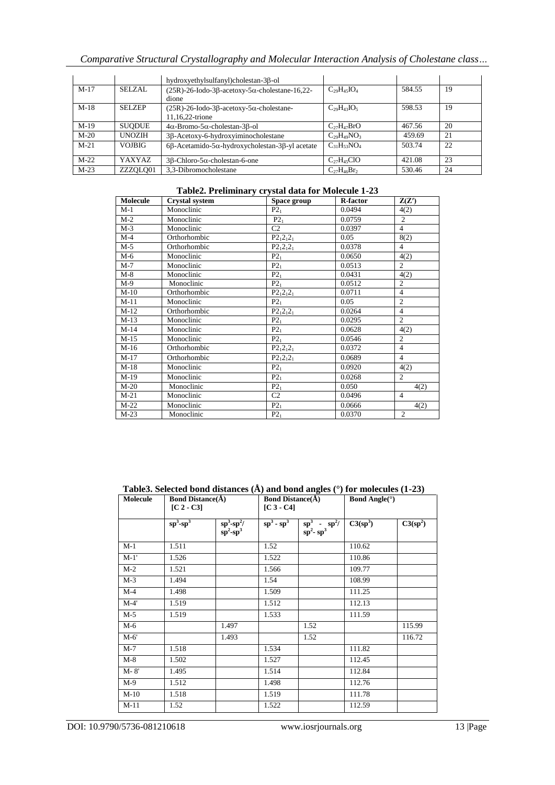|        |               | hydroxyethylsulfanyl)cholestan-3β-ol                                           |                    |        |    |
|--------|---------------|--------------------------------------------------------------------------------|--------------------|--------|----|
| $M-17$ | SELZAL        | $(25R)$ -26-Iodo-3 $\beta$ -acetoxy-5 $\alpha$ -cholestane-16,22-<br>dione     | $C_{29}H_{45}IO_4$ | 584.55 | 19 |
| $M-18$ | <b>SELZEP</b> | $(25R)$ -26-Iodo-3 $\beta$ -acetoxy-5 $\alpha$ -cholestane-<br>11.16.22-trione | $C_{29}H_{43}IO_5$ | 598.53 | 19 |
| $M-19$ | <b>SUODUE</b> | $4\alpha$ -Bromo-5 $\alpha$ -cholestan-3 $\beta$ -ol                           | $C_{27}H_{47}BrO$  | 467.56 | 20 |
| $M-20$ | <b>UNOZIH</b> | 3ß-Acetoxy-6-hydroxyiminocholestane                                            | $C_{29}H_{49}NO_3$ | 459.69 | 21 |
| $M-21$ | <b>VOJBIG</b> | $6\beta$ -Acetamido-5 $\alpha$ -hydroxycholestan-3 $\beta$ -yl acetate         | $C_{31}H_{53}NO_4$ | 503.74 | 22 |
| $M-22$ | YAXYAZ.       | $3\beta$ -Chloro-5 $\alpha$ -cholestan-6-one                                   | $C_{27}H_{45}ClO$  | 421.08 | 23 |
| $M-23$ | ZZZOLO01      | 3.3-Dibromocholestane                                                          | $C_{27}H_{46}Br_2$ | 530.46 | 24 |

#### **Table2. Preliminary crystal data for Molecule 1-23**

| Molecule | <b>Crystal system</b> | Space group     | <b>R-factor</b> | Z(Z')          |
|----------|-----------------------|-----------------|-----------------|----------------|
| $M-1$    | Monoclinic            | $P2_1$          | 0.0494          | 4(2)           |
| $M-2$    | Monoclinic            | $P2_1$          | 0.0759          | $\overline{2}$ |
| $M-3$    | Monoclinic            | C <sub>2</sub>  | 0.0397          | $\overline{4}$ |
| $M-4$    | Orthorhombic          | $P2_12_12_1$    | 0.05            | 8(2)           |
| $M-5$    | Orthorhombic          | $P2_12_12_1$    | 0.0378          | $\overline{4}$ |
| $M-6$    | Monoclinic            | $P2_1$          | 0.0650          | 4(2)           |
| $M-7$    | Monoclinic            | P2 <sub>1</sub> | 0.0513          | $\mathfrak{2}$ |
| $M-8$    | Monoclinic            | $P2_1$          | 0.0431          | 4(2)           |
| $M-9$    | Monoclinic            | $P2_1$          | 0.0512          | $\overline{c}$ |
| $M-10$   | Orthorhombic          | $P2_12_12_1$    | 0.0711          | $\overline{4}$ |
| $M-11$   | Monoclinic            | P2 <sub>1</sub> | 0.05            | $\overline{c}$ |
| $M-12$   | Orthorhombic          | $P2_12_12_1$    | 0.0264          | $\overline{4}$ |
| $M-13$   | Monoclinic            | $P2_1$          | 0.0295          | $\overline{c}$ |
| $M-14$   | Monoclinic            | $P2_1$          | 0.0628          | 4(2)           |
| $M-15$   | Monoclinic            | $P2_1$          | 0.0546          | $\overline{2}$ |
| $M-16$   | Orthorhombic          | $P2_12_12_1$    | 0.0372          | $\overline{4}$ |
| $M-17$   | Orthorhombic          | $P2_12_12_1$    | 0.0689          | $\overline{4}$ |
| $M-18$   | Monoclinic            | $P2_1$          | 0.0920          | 4(2)           |
| $M-19$   | Monoclinic            | $P2_1$          | 0.0268          | $\mathfrak{2}$ |
| $M-20$   | Monoclinic            | $P2_1$          | 0.050           | 4(2)           |
| $M-21$   | Monoclinic            | C <sub>2</sub>  | 0.0496          | $\overline{4}$ |
| $M-22$   | Monoclinic            | $P2_1$          | 0.0666          | 4(2)           |
| $M-23$   | Monoclinic            | $P2_1$          | 0.0370          | $\overline{2}$ |

**Table3. Selected bond distances (Å) and bond angles (°) for molecules (1-23)**

| Molecule | <b>Bond Distance(Å)</b><br>$[C 2 - C3]$ |                                                                          | <b>Bond Distance(Å)</b><br>$[C 3 - C4]$ |                                                                                           | <b>Bond Angle</b> ( $\circ$ ) |            |
|----------|-----------------------------------------|--------------------------------------------------------------------------|-----------------------------------------|-------------------------------------------------------------------------------------------|-------------------------------|------------|
|          | $sp^3$ - $sp^3$                         | $\frac{\text{sp}^3\text{-}\text{sp}^2/}{\text{sp}^2\text{-}\text{sp}^3}$ | $sp^3$ - $sp^3$                         | $\frac{\text{sp}^3}{\text{sp}^2 \cdot \text{sp}^3} \cdot \frac{\text{sp}^2}{\text{sp}^2}$ | $C3(sp^3)$                    | $C3(sp^2)$ |
| $M-1$    | 1.511                                   |                                                                          | 1.52                                    |                                                                                           | 110.62                        |            |
| $M-1'$   | 1.526                                   |                                                                          | 1.522                                   |                                                                                           | 110.86                        |            |
| $M-2$    | 1.521                                   |                                                                          | 1.566                                   |                                                                                           | 109.77                        |            |
| $M-3$    | 1.494                                   |                                                                          | 1.54                                    |                                                                                           | 108.99                        |            |
| $M-4$    | 1.498                                   |                                                                          | 1.509                                   |                                                                                           | 111.25                        |            |
| $M-4'$   | 1.519                                   |                                                                          | 1.512                                   |                                                                                           | 112.13                        |            |
| $M-5$    | 1.519                                   |                                                                          | 1.533                                   |                                                                                           | 111.59                        |            |
| $M-6$    |                                         | 1.497                                                                    |                                         | 1.52                                                                                      |                               | 115.99     |
| $M-6'$   |                                         | 1.493                                                                    |                                         | 1.52                                                                                      |                               | 116.72     |
| $M-7$    | 1.518                                   |                                                                          | 1.534                                   |                                                                                           | 111.82                        |            |
| $M-8$    | 1.502                                   |                                                                          | 1.527                                   |                                                                                           | 112.45                        |            |
| $M-8'$   | 1.495                                   |                                                                          | 1.514                                   |                                                                                           | 112.84                        |            |
| $M-9$    | 1.512                                   |                                                                          | 1.498                                   |                                                                                           | 112.76                        |            |
| $M-10$   | 1.518                                   |                                                                          | 1.519                                   |                                                                                           | 111.78                        |            |
| $M-11$   | 1.52                                    |                                                                          | 1.522                                   |                                                                                           | 112.59                        |            |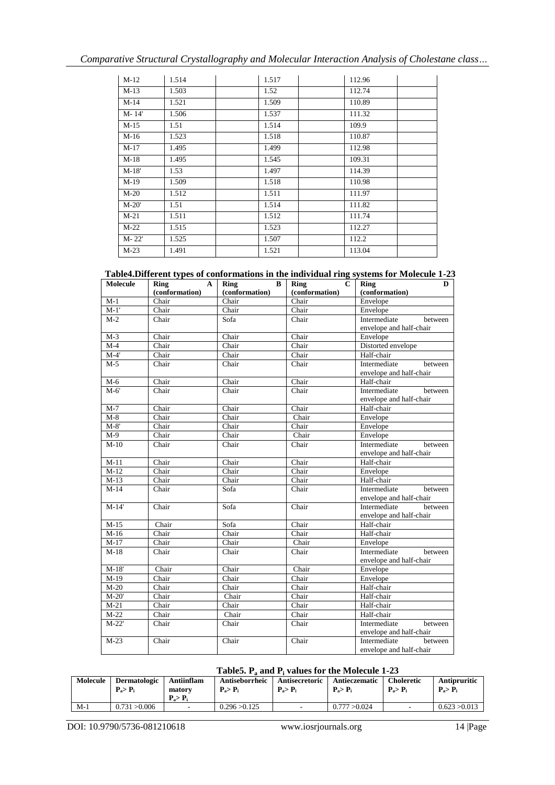| $M-12$    | 1.514 | 1.517 | 112.96 |
|-----------|-------|-------|--------|
| $M-13$    | 1.503 | 1.52  | 112.74 |
| $M-14$    | 1.521 | 1.509 | 110.89 |
| $M - 14'$ | 1.506 | 1.537 | 111.32 |
| $M-15$    | 1.51  | 1.514 | 109.9  |
| $M-16$    | 1.523 | 1.518 | 110.87 |
| $M-17$    | 1.495 | 1.499 | 112.98 |
| $M-18$    | 1.495 | 1.545 | 109.31 |
| $M-18'$   | 1.53  | 1.497 | 114.39 |
| $M-19$    | 1.509 | 1.518 | 110.98 |
| $M-20$    | 1.512 | 1.511 | 111.97 |
| $M-20'$   | 1.51  | 1.514 | 111.82 |
| $M-21$    | 1.511 | 1.512 | 111.74 |
| $M-22$    | 1.515 | 1.523 | 112.27 |
| $M - 22'$ | 1.525 | 1.507 | 112.2  |
| $M-23$    | 1.491 | 1.521 | 113.04 |

| Table4. Different types of conformations in the individual ring systems for Molecule 1-23 |  |  |  |
|-------------------------------------------------------------------------------------------|--|--|--|
|-------------------------------------------------------------------------------------------|--|--|--|

| <b>Molecule</b> | Ring<br>${\bf A}$ | <b>Ring</b><br>$\bf{B}$ | $\mathbf{C}$<br><b>Ring</b> | D<br><b>Ring</b>        |
|-----------------|-------------------|-------------------------|-----------------------------|-------------------------|
|                 | (conformation)    | (conformation)          | (conformation)              | (conformation)          |
| $M-1$           | Chair             | Chair                   | Chair                       | Envelope                |
| $M-1'$          | Chair             | Chair                   | Chair                       | Envelope                |
| $M-2$           | Chair             | Sofa                    | Chair                       | Intermediate<br>between |
|                 |                   |                         |                             | envelope and half-chair |
| $M-3$           | Chair             | Chair                   | Chair                       | Envelope                |
| $M-4$           | Chair             | Chair                   | Chair                       | Distorted envelope      |
| $M-4'$          | Chair             | Chair                   | Chair                       | Half-chair              |
| $M-5$           | Chair             | Chair                   | Chair                       | Intermediate<br>between |
|                 |                   |                         |                             | envelope and half-chair |
| $M-6$           | Chair             | Chair                   | Chair                       | Half-chair              |
| $M-6'$          | Chair             | Chair                   | Chair                       | Intermediate<br>between |
|                 |                   |                         |                             | envelope and half-chair |
| $M-7$           | Chair             | Chair                   | Chair                       | Half-chair              |
| $M-8$           | Chair             | Chair                   | Chair                       | Envelope                |
| $M-8'$          | Chair             | Chair                   | Chair                       | Envelope                |
| $M-9$           | Chair             | Chair                   | Chair                       | Envelope                |
| $M-10$          | Chair             | Chair                   | Chair                       | Intermediate<br>between |
|                 |                   |                         |                             | envelope and half-chair |
| $M-11$          | Chair             | Chair                   | Chair                       | Half-chair              |
| $M-12$          | Chair             | Chair                   | Chair                       | Envelope                |
| $M-13$          | Chair             | Chair                   | Chair                       | Half-chair              |
| $M-14$          | Chair             | Sofa                    | Chair                       | Intermediate<br>between |
|                 |                   |                         |                             | envelope and half-chair |
| $M-14'$         | Chair             | Sofa                    | Chair                       | Intermediate<br>between |
|                 |                   |                         |                             | envelope and half-chair |
| $M-15$          | Chair             | Sofa                    | Chair                       | Half-chair              |
| $M-16$          | Chair             | Chair                   | Chair                       | Half-chair              |
| $M-17$          | Chair             | Chair                   | Chair                       | Envelope                |
| $M-18$          | Chair             | Chair                   | Chair                       | Intermediate<br>between |
|                 |                   |                         |                             | envelope and half-chair |
| $M-18'$         | Chair             | Chair                   | Chair                       | Envelope                |
| $M-19$          | Chair             | Chair                   | Chair                       | Envelope                |
| $M-20$          | Chair             | Chair                   | Chair                       | Half-chair              |
| $M-20'$         | Chair             | Chair                   | Chair                       | Half-chair              |
| $M-21$          | Chair             | Chair                   | Chair                       | Half-chair              |
| $M-22$          | Chair             | Chair                   | Chair                       | Half-chair              |
| $M-22'$         | Chair             | Chair                   | Chair                       | Intermediate<br>between |
|                 |                   |                         |                             | envelope and half-chair |
| $M-23$          | Chair             | Chair                   | Chair                       | Intermediate<br>between |
|                 |                   |                         |                             | envelope and half-chair |

# **Table5. P<sup>a</sup> and P<sup>i</sup> values for the Molecule 1-23**

| <b>Molecule</b> | <b>Dermatologic</b><br>$P_a > P_i$ | Antiinflam<br>matory<br>$P_a > P$ | Antiseborrheic<br>$P_a > P_i$ | Antisecretoric<br>$P_a > P_i$ | Antieczematic<br>$P_a > P_i$ | <b>Choleretic</b><br>$P_a > P_i$ | Antipruritic<br>$P_a > P_i$ |
|-----------------|------------------------------------|-----------------------------------|-------------------------------|-------------------------------|------------------------------|----------------------------------|-----------------------------|
| $M-1$           | 0.731 > 0.006                      | $\overline{\phantom{a}}$          | 0.296 > 0.125                 |                               | 0.777 > 0.024                |                                  | 0.623 > 0.013               |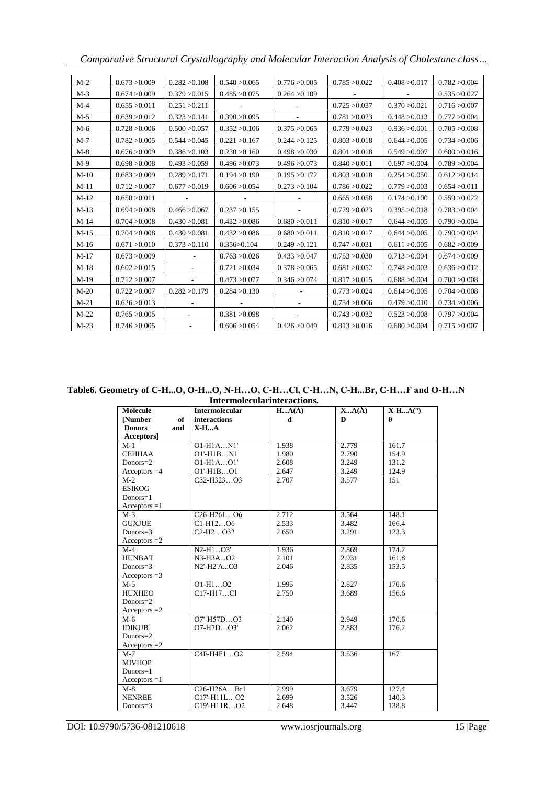|  | Comparative Structural Crystallography and Molecular Interaction Analysis of Cholestane class |  |
|--|-----------------------------------------------------------------------------------------------|--|
|  |                                                                                               |  |

| $M-2$  | 0.673 > 0.009 | 0.282 > 0.108 | 0.540 > 0.065 | 0.776 > 0.005 | 0.785 > 0.022 | 0.408 > 0.017 | 0.782 > 0.004 |
|--------|---------------|---------------|---------------|---------------|---------------|---------------|---------------|
| $M-3$  | 0.674 > 0.009 | 0.379 > 0.015 | 0.485 > 0.075 | 0.264 > 0.109 |               |               | 0.535 > 0.027 |
| $M-4$  | 0.655 > 0.011 | 0.251 > 0.211 |               |               | 0.725 > 0.037 | 0.370 > 0.021 | 0.716 > 0.007 |
| $M-5$  | 0.639 > 0.012 | 0.323 > 0.141 | 0.390 > 0.095 |               | 0.781 > 0.023 | 0.448 > 0.013 | 0.777 > 0.004 |
| $M-6$  | 0.728 > 0.006 | 0.500 > 0.057 | 0.352 > 0.106 | 0.375 > 0.065 | 0.779 > 0.023 | 0.936 > 0.001 | 0.705 > 0.008 |
| $M-7$  | 0.782 > 0.005 | 0.544 > 0.045 | 0.221 > 0.167 | 0.244 > 0.125 | 0.803 > 0.018 | 0.644 > 0.005 | 0.734 > 0.006 |
| $M-8$  | 0.676 > 0.009 | 0.386 > 0.103 | 0.230 > 0.160 | 0.498 > 0.030 | 0.801 > 0.018 | 0.549 > 0.007 | 0.600 > 0.016 |
| $M-9$  | 0.698 > 0.008 | 0.493 > 0.059 | 0.496 > 0.073 | 0.496 > 0.073 | 0.840 > 0.011 | 0.697 > 0.004 | 0.789 > 0.004 |
| $M-10$ | 0.683 > 0.009 | 0.289 > 0.171 | 0.194 > 0.190 | 0.195 > 0.172 | 0.803 > 0.018 | 0.254 > 0.050 | 0.612 > 0.014 |
| $M-11$ | 0.712 > 0.007 | 0.677 > 0.019 | 0.606 > 0.054 | 0.273 > 0.104 | 0.786 > 0.022 | 0.779 > 0.003 | 0.654 > 0.011 |
| $M-12$ | 0.650 > 0.011 |               |               |               | 0.665 > 0.058 | 0.174 > 0.100 | 0.559 > 0.022 |
| $M-13$ | 0.694 > 0.008 | 0.466 > 0.067 | 0.237 > 0.155 |               | 0.779 > 0.023 | 0.395 > 0.018 | 0.783 > 0.004 |
| $M-14$ | 0.704 > 0.008 | 0.430 > 0.081 | 0.432 > 0.086 | 0.680 > 0.011 | 0.810 > 0.017 | 0.644 > 0.005 | 0.790 > 0.004 |
| $M-15$ | 0.704 > 0.008 | 0.430 > 0.081 | 0.432 > 0.086 | 0.680 > 0.011 | 0.810 > 0.017 | 0.644 > 0.005 | 0.790 > 0.004 |
| $M-16$ | 0.671 > 0.010 | 0.373 > 0.110 | 0.356 > 0.104 | 0.249 > 0.121 | 0.747 > 0.031 | 0.611 > 0.005 | 0.682 > 0.009 |
| $M-17$ | 0.673 > 0.009 |               | 0.763 > 0.026 | 0.433 > 0.047 | 0.753 > 0.030 | 0.713 > 0.004 | 0.674 > 0.009 |
| $M-18$ | 0.602 > 0.015 |               | 0.721 > 0.034 | 0.378 > 0.065 | 0.681 > 0.052 | 0.748 > 0.003 | 0.636 > 0.012 |
| $M-19$ | 0.712 > 0.007 |               | 0.473 > 0.077 | 0.346 > 0.074 | 0.817 > 0.015 | 0.688 > 0.004 | 0.700 > 0.008 |
| $M-20$ | 0.722 > 0.007 | 0.282 > 0.179 | 0.284 > 0.130 |               | 0.773 > 0.024 | 0.614 > 0.005 | 0.704 > 0.008 |
| $M-21$ | 0.626 > 0.013 |               |               |               | 0.734 > 0.006 | 0.479 > 0.010 | 0.734 > 0.006 |
| $M-22$ | 0.765 > 0.005 |               | 0.381 > 0.098 |               | 0.743 > 0.032 | 0.523 > 0.008 | 0.797 > 0.004 |
| $M-23$ | 0.746 > 0.005 |               | 0.606 > 0.054 | 0.426 > 0.049 | 0.813 > 0.016 | 0.680 > 0.004 | 0.715 > 0.007 |

**Table6. Geometry of C-H...O, O-H...O, N-H…O, C-H…Cl, C-H…N, C-H...Br, C-H…F and O-H…N**

| Intermolecularinteractions. |                                                  |           |           |           |  |  |  |  |
|-----------------------------|--------------------------------------------------|-----------|-----------|-----------|--|--|--|--|
| <b>Molecule</b>             | <b>Intermolecular</b>                            | $HA(\AA)$ | $XA(\AA)$ | $X-HA(°)$ |  |  |  |  |
| <b>Number</b>               | <b>interactions</b><br>of                        | d         | D         | A         |  |  |  |  |
| <b>Donors</b><br>and        | $X-HA$                                           |           |           |           |  |  |  |  |
| Acceptors]                  |                                                  |           |           |           |  |  |  |  |
| $M-1$                       | $O1-H1AN1'$                                      | 1.938     | 2.779     | 161.7     |  |  |  |  |
| <b>CEHHAA</b>               | $O1'$ -H $1BN1$                                  | 1.980     | 2.790     | 154.9     |  |  |  |  |
| $Donors = 2$                | $O1-H1AO1'$                                      | 2.608     | 3.249     | 131.2     |  |  |  |  |
| Acceptors $=4$              | $O1'$ -H1B $O1$                                  | 2.647     | 3.249     | 124.9     |  |  |  |  |
| $M-2$                       | $C32-H323O3$                                     | 2.707     | 3.577     | 151       |  |  |  |  |
| <b>ESIKOG</b>               |                                                  |           |           |           |  |  |  |  |
| $Donors = 1$                |                                                  |           |           |           |  |  |  |  |
| $Acceptors = 1$             |                                                  |           |           |           |  |  |  |  |
| $M-3$                       | C <sub>26</sub> -H <sub>261</sub> O <sub>6</sub> | 2.712     | 3.564     | 148.1     |  |  |  |  |
| <b>GUXJUE</b>               | $C1-H1206$                                       | 2.533     | 3.482     | 166.4     |  |  |  |  |
| Donors=3                    | $C2-H2O32$                                       | 2.650     | 3.291     | 123.3     |  |  |  |  |
| Acceptors $=2$              |                                                  |           |           |           |  |  |  |  |
| $M-4$                       | N2-H1O3'                                         | 1.936     | 2.869     | 174.2     |  |  |  |  |
| <b>HUNBAT</b>               | N3-H3AO2                                         | 2.101     | 2.931     | 161.8     |  |  |  |  |
| Donors= $3$                 | N2'-H2'AO3                                       | 2.046     | 2.835     | 153.5     |  |  |  |  |
| Acceptors $=3$              |                                                  |           |           |           |  |  |  |  |
| $M-5$                       | $O1-H1O2$                                        | 1.995     | 2.827     | 170.6     |  |  |  |  |
| <b>HUXHEO</b>               | $C17-H17C1$                                      | 2.750     | 3.689     | 156.6     |  |  |  |  |
| Donors=2                    |                                                  |           |           |           |  |  |  |  |
| Acceptors $=2$              |                                                  |           |           |           |  |  |  |  |
| $M-6$                       | O7'-H57DO3                                       | 2.140     | 2.949     | 170.6     |  |  |  |  |
| <b>IDIKUB</b>               | $O7-H7DO3'$                                      | 2.062     | 2.883     | 176.2     |  |  |  |  |
| Donors $=$ 2                |                                                  |           |           |           |  |  |  |  |
| Acceptors $=2$              |                                                  |           |           |           |  |  |  |  |
| $M-7$                       | C4F-H4F1O2                                       | 2.594     | 3.536     | 167       |  |  |  |  |
| <b>MIVHOP</b>               |                                                  |           |           |           |  |  |  |  |
| $Donors = 1$                |                                                  |           |           |           |  |  |  |  |
| $Acceptors = 1$             |                                                  |           |           |           |  |  |  |  |
| $M-8$                       | $C26-H26A$ . Br1                                 | 2.999     | 3.679     | 127.4     |  |  |  |  |
| <b>NENREE</b>               | C17'-H11LO2                                      | 2.699     | 3.526     | 140.3     |  |  |  |  |
| Donors= $3$                 | C19'-H11RO2                                      | 2.648     | 3.447     | 138.8     |  |  |  |  |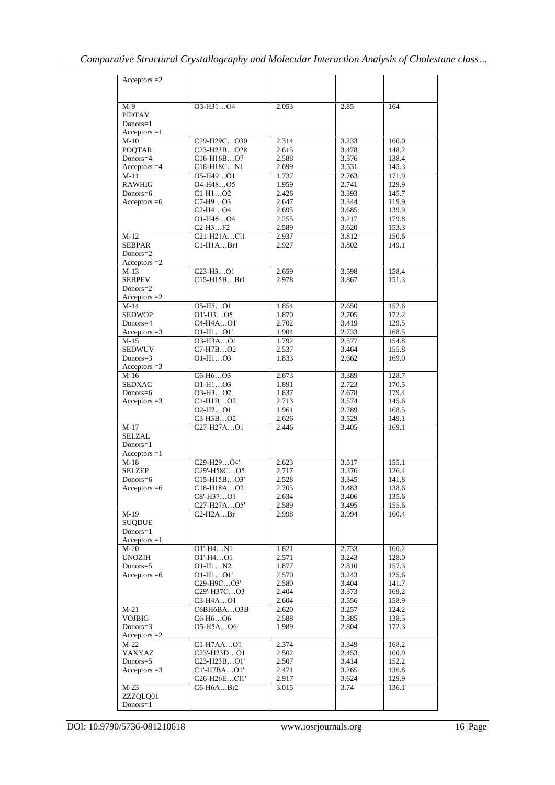| Acceptors $=2$                  |                                                                                                        |                |                |                |
|---------------------------------|--------------------------------------------------------------------------------------------------------|----------------|----------------|----------------|
| $M-9$                           | O3-H31O4                                                                                               | 2.053          | 2.85           | 164            |
| <b>PIDTAY</b>                   |                                                                                                        |                |                |                |
| $Donors = 1$                    |                                                                                                        |                |                |                |
| $Acceptors = 1$                 |                                                                                                        |                |                |                |
| $M-10$<br><b>POQTAR</b>         | C <sub>29</sub> -H <sub>29</sub> CO <sub>30</sub><br>C <sub>23</sub> -H <sub>23</sub> BO <sub>28</sub> | 2.314<br>2.615 | 3.233<br>3.478 | 160.0<br>148.2 |
| Donors=4                        | C <sub>16</sub> -H <sub>16</sub> BO <sub>7</sub>                                                       | 2.588          | 3.376          | 138.4          |
| Acceptors $=4$                  | C18-H18CN1                                                                                             | 2.699          | 3.531          | 145.3          |
| $M-11$                          | O5-H49O1                                                                                               | 1.737          | 2.763          | 171.9          |
| <b>RAWHIG</b>                   | O <sub>4</sub> -H <sub>48</sub> O <sub>5</sub>                                                         | 1.959          | 2.741          | 129.9          |
| Donors=6<br>Acceptors $=6$      | $C1-H1O2$<br>$C7-H9O3$                                                                                 | 2.426<br>2.647 | 3.393<br>3.344 | 145.7<br>119.9 |
|                                 | C <sub>2</sub> -H <sub>4</sub> O <sub>4</sub>                                                          | 2.695          | 3.685          | 139.9          |
|                                 | $O1-H46O4$                                                                                             | 2.255          | 3.217          | 179.8          |
|                                 | $C2-H3F2$                                                                                              | 2.589          | 3.620          | 153.3          |
| $M-12$<br><b>SEBPAR</b>         | $C21-H21ACl1$<br>$C1-H1ABr1$                                                                           | 2.937<br>2.927 | 3.812<br>3.802 | 150.6<br>149.1 |
| $Donors = 2$                    |                                                                                                        |                |                |                |
| Acceptors $=2$                  |                                                                                                        |                |                |                |
| $M-13$                          | C <sub>23</sub> -H <sub>3</sub> O <sub>1</sub>                                                         | 2.659          | 3.598          | 158.4          |
| <b>SEBPEV</b>                   | C15-H15BBrl                                                                                            | 2.978          | 3.867          | 151.3          |
| $Donors = 2$                    |                                                                                                        |                |                |                |
| $Acceptors = 2$<br>$M-14$       | O5-H5O1                                                                                                | 1.854          | 2.650          | 152.6          |
| <b>SEDWOP</b>                   | $O1'-H3O5$                                                                                             | 1.870          | 2.705          | 172.2          |
| Donors=4                        | $C4-H4AO1'$                                                                                            | 2.702          | 3.419          | 129.5          |
| Acceptors $=3$                  | $O1-H1O1'$                                                                                             | 1.904          | 2.733          | 168.5          |
| $M-15$                          | 03-H3AO1                                                                                               | 1.792          | 2.577          | 154.8          |
| <b>SEDWUV</b><br>Donors= $3$    | $C7-H7BO2$<br>$O1-H1O3$                                                                                | 2.537<br>1.833 | 3.464<br>2.662 | 155.8<br>169.0 |
| $Acceptors = 3$                 |                                                                                                        |                |                |                |
| $M-16$                          | $C6-H6O3$                                                                                              | 2.673          | 3.389          | 128.7          |
| <b>SEDXAC</b>                   | $O1-H1O3$                                                                                              | 1.891          | 2.723          | 170.5          |
| Donors=6<br>Acceptors $=3$      | $O3-H3O2$<br>$C1-H1BO2$                                                                                | 1.837<br>2.713 | 2.678<br>3.574 | 179.4<br>145.6 |
|                                 | $O2-H2O1$                                                                                              | 1.961          | 2.789          | 168.5          |
|                                 | C3-H3BO2                                                                                               | 2.626          | 3.529          | 149.1          |
| $M-17$                          | C27-H27AO1                                                                                             | 2.446          | 3.405          | 169.1          |
| <b>SELZAL</b>                   |                                                                                                        |                |                |                |
| $Donors = 1$<br>$Acceptors = 1$ |                                                                                                        |                |                |                |
| $M-18$                          | C29-H29O4'                                                                                             | 2.623          | 3.517          | 155.1          |
| <b>SELZEP</b>                   | C29'-H58CO5                                                                                            | 2.717          | 3.376          | 126.4          |
| Donors= $6$                     | $C15-H15BO3'$                                                                                          | 2.528          | 3.345          | 141.8          |
| Acceptors $=6$                  | C <sub>18</sub> -H <sub>18</sub> AO <sub>2</sub><br>$C8'$ -H37O1                                       | 2.705<br>2.634 | 3.483<br>3.406 | 138.6<br>135.6 |
|                                 | C27-H27AO5'                                                                                            | 2.589          | 3.495          | 155.6          |
| $M-19$                          | $C2-H2ABr$                                                                                             | 2.998          | 3.994          | 160.4          |
| <b>SUQDUE</b>                   |                                                                                                        |                |                |                |
| Donors=1                        |                                                                                                        |                |                |                |
| $Acceptors = 1$<br>$M-20$       | O1'-H4N1                                                                                               | 1.821          | 2.733          | 160.2          |
| <b>UNOZIH</b>                   | $O1'-H4O1$                                                                                             | 2.571          | 3.243          | 128.0          |
| Donors=5                        | $O1-H1N2$                                                                                              | 1.877          | 2.810          | 157.3          |
| Acceptors $=6$                  | $O1-H1O1'$                                                                                             | 2.570          | 3.243          | 125.6          |
|                                 | C29-H9CO3'<br>C <sub>29</sub> '-H <sub>37</sub> CO <sub>3</sub>                                        | 2.580<br>2.404 | 3.404<br>3.373 | 141.7<br>169.2 |
|                                 | C3-H4AO1                                                                                               | 2.604          | 3.556          | 158.9          |
| $M-21$                          | C6BH6BAO3B                                                                                             | 2.620          | 3.257          | 124.2          |
| <b>VOJBIG</b>                   | $C6-H6O6$                                                                                              | 2.588          | 3.385          | 138.5          |
| Donors= $3$                     | O5-H5AO6                                                                                               | 1.989          | 2.804          | 172.3          |
| Acceptors $=2$<br>$M-22$        | C1-H7AAO1                                                                                              | 2.374          | 3.349          | 168.2          |
| YAXYAZ                          | C <sub>23</sub> '-H <sub>23</sub> D01                                                                  | 2.502          | 2.453          | 160.9          |
| Donors=5                        | C23-H23BO1'                                                                                            | 2.507          | 3.414          | 152.2          |
| Acceptors $=3$                  | $Cl'-H7BAO1'$                                                                                          | 2.471          | 3.265          | 136.8          |
|                                 | C <sub>26</sub> -H <sub>26</sub> ECl1'                                                                 | 2.917          | 3.624          | 129.9          |
| $M-23$<br>ZZZQLQ01              | C6-H6ABr2                                                                                              | 3.015          | 3.74           | 136.1          |
| $Donors = 1$                    |                                                                                                        |                |                |                |
|                                 |                                                                                                        |                |                |                |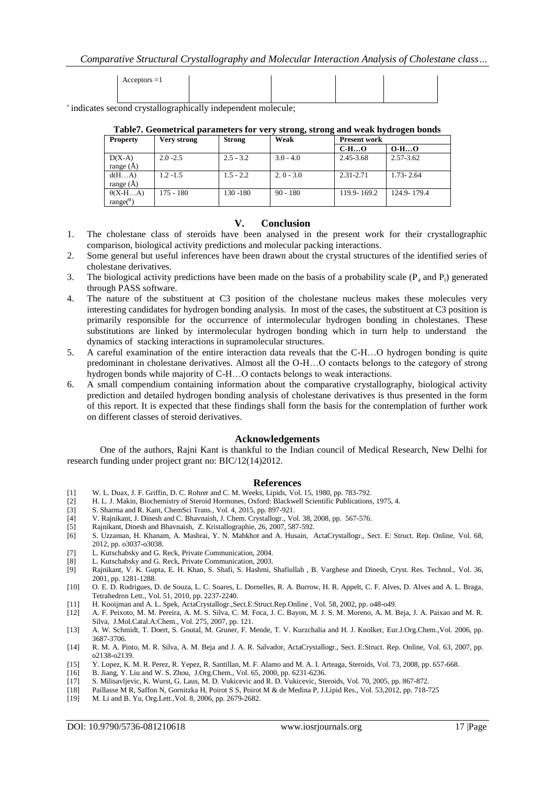*Comparative Structural Crystallography and Molecular Interaction Analysis of Cholestane class…*

| $Acceptors = 1$ |  |  |
|-----------------|--|--|
|                 |  |  |
|                 |  |  |

' indicates second crystallographically independent molecule;

**Table7. Geometrical parameters for very strong, strong and weak hydrogen bonds**

| <b>Property</b> | Very strong | <b>Strong</b> | $\mathbf{C}$<br>Weak | -<br><b>Present work</b> |               |
|-----------------|-------------|---------------|----------------------|--------------------------|---------------|
|                 |             |               |                      | $C-HO$                   | $O-HO$        |
| $D(X-A)$        | $2.0 - 2.5$ | $2.5 - 3.2$   | $3.0 - 4.0$          | 2.45-3.68                | 2.57-3.62     |
| range $(A)$     |             |               |                      |                          |               |
| d(HA)           | $1.2 - 1.5$ | $1.5 - 2.2$   | $2.0 - 3.0$          | 2.31-2.71                | $1.73 - 2.64$ |
| range $(A)$     |             |               |                      |                          |               |
| $\theta(X-HA)$  | $175 - 180$ | 130 - 180     | $90 - 180$           | 119.9-169.2              | 124.9-179.4   |
| $range(^0)$     |             |               |                      |                          |               |

#### **V. Conclusion**

- 1. The cholestane class of steroids have been analysed in the present work for their crystallographic comparison, biological activity predictions and molecular packing interactions.
- 2. Some general but useful inferences have been drawn about the crystal structures of the identified series of cholestane derivatives.
- 3. The biological activity predictions have been made on the basis of a probability scale  $(P_a$  and  $P_i)$  generated through PASS software.
- 4. The nature of the substituent at C3 position of the cholestane nucleus makes these molecules very interesting candidates for hydrogen bonding analysis. In most of the cases, the substituent at C3 position is primarily responsible for the occurrence of intermolecular hydrogen bonding in cholestanes. These substitutions are linked by intermolecular hydrogen bonding which in turn help to understand the dynamics of stacking interactions in supramolecular structures.
- 5. A careful examination of the entire interaction data reveals that the C-H…O hydrogen bonding is quite predominant in cholestane derivatives. Almost all the O-H…O contacts belongs to the category of strong hydrogen bonds while majority of C-H…O contacts belongs to weak interactions.
- 6. A small compendium containing information about the comparative crystallography, biological activity prediction and detailed hydrogen bonding analysis of cholestane derivatives is thus presented in the form of this report. It is expected that these findings shall form the basis for the contemplation of further work on different classes of steroid derivatives.

#### **Acknowledgements**

One of the authors, Rajni Kant is thankful to the Indian council of Medical Research, New Delhi for research funding under project grant no: BIC/12(14)2012.

#### **References**

- [1] W. L. Duax, J. F. Griffin, D. C. Rohrer and C. M. Weeks, Lipids, Vol. 15, 1980, pp. 783-792.
- [2] H. L. J. Makin, Biochemistry of Steroid Hormones, Oxford: Blackwell Scientific Publications, 1975, 4.
- [3] S. Sharma and R. Kant, ChemSci Trans., Vol. 4, 2015, pp. 897-921.
- [4] V. Rajnikant, J. Dinesh and C. Bhavnaish, J. Chem. Crystallogr., Vol. 38, 2008, pp. 567-576.
- [5] Rajnikant, Dinesh and Bhavnaish, Z. Kristallographie, 26, 2007, 587-592.
- [6] S. Uzzaman, H. Khanam, A. Mashrai, Y. N. Mabkhot and A. Husain, ActaCrystallogr., Sect. E: Struct. Rep. Online, Vol. 68, 2012, pp. o3037-o3038.
- [7] L. Kutschabsky and G. Reck, Private Communication, 2004.
- [8] L. Kutschabsky and G. Reck, Private Communication, 2003.<br>[9] Rajnikant, V. K. Gupta, E. H. Khan, S. Shafi, S. Hashmi,
- Rajnikant, V. K. Gupta, E. H. Khan, S. Shafi, S. Hashmi, Shafiullah , B. Varghese and Dinesh, Cryst. Res. Technol., Vol. 36, 2001, pp. 1281-1288.
- [10] O. E. D. Rodrigues, D. de Souza, L. C. Soares, L. Dornelles, R. A. Burrow, H. R. Appelt, C. F. Alves, D. Alves and A. L. Braga, Tetrahedron Lett., Vol. 51, 2010, pp. 2237-2240.
- [11] H. Kooijman and A. L. Spek, ActaCrystallogr.,Sect.E:Struct.Rep.Online , Vol. 58, 2002, pp. o48-o49.
- [12] A. F. Peixoto, M. M. Pereira, A. M. S. Silva, C. M. Foca, J. C. Bayon, M. J. S. M. Moreno, A. M. Beja, J. A. Paixao and M. R. Silva, J.Mol.Catal.A:Chem., Vol. 275, 2007, pp. 121.
- [13] A. W. Schmidt, T. Doert, S. Goutal, M. Gruner, F. Mende, T. V. Kurzchalia and H. J. Knolker, Eur.J.Org.Chem.,Vol. 2006, pp. 3687-3706.
- [14] R. M. A. Pinto, M. R. Silva, A. M. Beja and J. A. R. Salvador, ActaCrystallogr., Sect. E:Struct. Rep. Online, Vol. 63, 2007, pp. o2138-o2139.
- [15] Y. Lopez, K. M. R. Perez, R. Yepez, R. Santillan, M. F. Alamo and M. A. I. Arteaga, Steroids, Vol. 73, 2008, pp. 657-668.<br>[16] B. Jiang, Y. Liu and W. S. Zhou, J.Org.Chem., Vol. 65, 2000, pp. 6231-6236.
- [16] B. Jiang, Y. Liu and W. S. Zhou, J.Org.Chem., Vol. 65, 2000, pp. 6231-6236.
- [17] S. Milisavljevic, K. Wurst, G. Laus, M. D. Vukicevic and R. D. Vukicevic, Steroids, Vol. 70, 2005, pp. 867-872.
- [18] Paillasse M R, Saffon N, Gornitzka H, Poirot S S, Poirot M & de Medina P, J.Lipid Res., Vol. 53,2012, pp. 718-725
- M. Li and B. Yu, Org.Lett., Vol. 8, 2006, pp. 2679-2682.